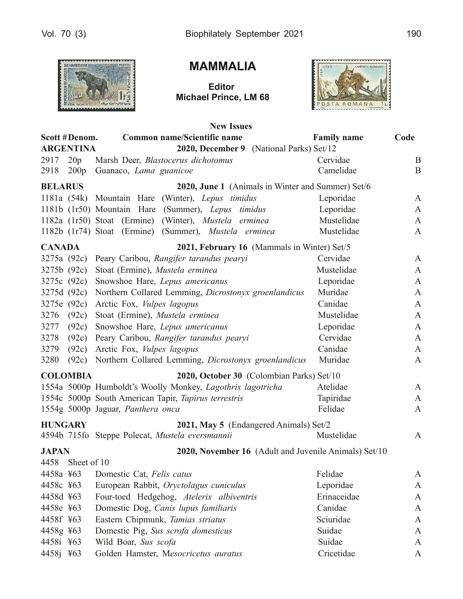

# **MAMMALIA**

**Editor** Michael Prince, LM 68



|                |                  | <b>New Issues</b>                                          |                    |              |
|----------------|------------------|------------------------------------------------------------|--------------------|--------------|
|                | Scott #Denom.    | <b>Common name/Scientific name</b>                         | <b>Family name</b> | Code         |
|                | <b>ARGENTINA</b> | 2020, December 9 (National Parks) Set/12                   |                    |              |
| 2917           | 20p              | Marsh Deer, Blastocerus dichotomus                         | Cervidae           | B            |
| 2918           | 200p             | Guanaco, Lama guanicoe                                     | Camelidae          | B            |
| <b>BELARUS</b> |                  | 2020, June 1 (Animals in Winter and Summer) Set/6          |                    |              |
|                |                  | 1181a (54k) Mountain Hare (Winter), Lepus timidus          | Leporidae          | $\mathbf{A}$ |
|                |                  | 1181b (1r50) Mountain Hare (Summer), Lepus timidus         | Leporidae          | $\mathbf{A}$ |
|                |                  | $1182a$ (1r50) Stoat (Ermine)<br>(Winter), Mustela erminea | Mustelidae         | A            |
|                |                  | 1182b (1r74) Stoat (Ermine) (Summer), Mustela erminea      | Mustelidae         | A            |
| <b>CANADA</b>  |                  | 2021, February 16 (Mammals in Winter) Set/5                |                    |              |
| 3275a (92c)    |                  | Peary Caribou, Rangifer tarandus pearyi                    | Cervidae           | A            |
|                | 3275b (92c)      | Stoat (Ermine), Mustela erminea                            | Mustelidae         | A            |
|                | 3275c (92c)      | Snowshoe Hare, Lepus americanus                            | Leporidae          | A            |
|                | 3275d (92c)      | Northern Collared Lemming, Dicrostonyx groenlandicus       | Muridae            | A            |
| 3275e (92c)    |                  | Arctic Fox, Vulpes lagopus                                 | Canidae            | A            |
| 3276           | (92c)            | Stoat (Ermine), Mustela erminea                            | Mustelidae         | A            |
| 3277           | (92c)            | Snowshoe Hare, Lepus americanus                            | Leporidae          | A            |
| 3278           | (92c)            | Peary Caribou, Rangifer tarandus pearyi                    | Cervidae           | A            |
| 3279           | (92c)            | Arctic Fox, Vulpes lagopus                                 | Canidae            | A            |
| 3280           | (92c)            | Northern Collared Lemming, Dicrostonyx groenlandicus       | Muridae            | A            |
|                | <b>COLOMBIA</b>  | 2020, October 30 (Colombian Parks) Set/10                  |                    |              |
|                |                  | 1554a 5000p Humboldt's Woolly Monkey, Lagothrix lagotricha | Atelidae           | $\mathbf{A}$ |
|                |                  | 1554c 5000p South American Tapir, Tapirus terrestris       | Tapiridae          | A            |
|                |                  | 1554g 5000p Jaguar, Panthera onca                          | Felidae            | A            |
| <b>HUNGARY</b> |                  | 2021, May 5 (Endangered Animals) Set/2                     |                    |              |
|                |                  | 4594b 715fo Steppe Polecat, Mustela eversmannii            | Mustelidae         | A            |
| <b>JAPAN</b>   |                  | 2020, November 16 (Adult and Juvenile Animals) Set/10      |                    |              |
| 4458           | Sheet of 10      |                                                            |                    |              |
| 4458a ¥63      |                  | Domestic Cat, Felis catus                                  | Felidae            | A            |
| 4458c ¥63      |                  | European Rabbit, Oryctolagus cuniculus                     | Leporidae          | A            |
| 4458d ¥63      |                  | Four-toed Hedgehog, Atelerix albiventris                   | Erinaceidae        | A            |
| 4458e ¥63      |                  | Domestic Dog, Canis lupus familiaris                       | Canidae            | A            |
| 4458f ¥63      |                  | Eastern Chipmunk, Tamias striatus                          | Sciuridae          | A            |
| 4458g ¥63      |                  | Domestic Pig, Sus scrofa domesticus                        | Suidae             | A            |
| 4458i ¥63      |                  | Wild Boar, Sus scofa                                       | Suidae             | A            |
| 4458j ¥63      |                  | Golden Hamster, Mesocricetus auratus                       | Cricetidae         | A            |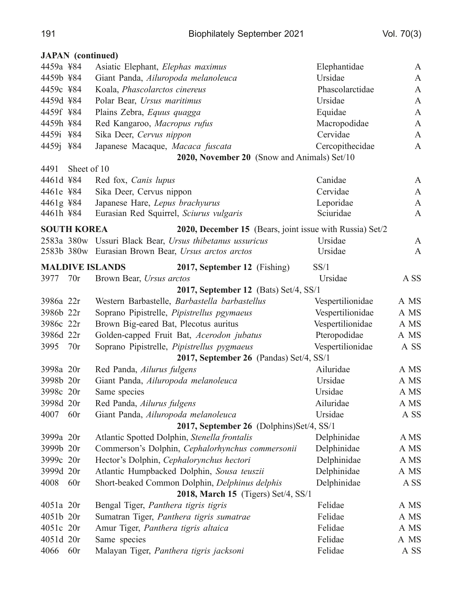#### **JAPAN** (continued)

| 4459a ¥84                               |                    | Asiatic Elephant, Elephas maximus                        | Elephantidae     | A            |  |
|-----------------------------------------|--------------------|----------------------------------------------------------|------------------|--------------|--|
| 4459b ¥84                               |                    | Giant Panda, Ailuropoda melanoleuca                      | Ursidae          | A            |  |
| 4459c ¥84                               |                    | Koala, Phascolarctos cinereus                            | Phascolarctidae  | $\mathbf{A}$ |  |
| 4459d ¥84                               |                    | Polar Bear, Ursus maritimus                              | Ursidae          | A            |  |
| 4459f ¥84                               |                    | Plains Zebra, Equus quagga                               | Equidae          | $\mathbf{A}$ |  |
| 4459h ¥84                               |                    | Red Kangaroo, Macropus rufus                             | Macropodidae     | A            |  |
| 4459i ¥84                               |                    | Sika Deer, Cervus nippon                                 | Cervidae         | $\mathbf{A}$ |  |
| 4459j ¥84                               |                    | Japanese Macaque, Macaca fuscata                         | Cercopithecidae  | A            |  |
|                                         |                    | <b>2020, November 20</b> (Snow and Animals) Set/10       |                  |              |  |
| 4491                                    | Sheet of 10        |                                                          |                  |              |  |
| 4461d ¥84                               |                    | Red fox, <i>Canis lupus</i>                              | Canidae          | A            |  |
| 4461e ¥84                               |                    | Sika Deer, Cervus nippon                                 | Cervidae         | $\mathbf{A}$ |  |
| 4461g ¥84                               |                    | Japanese Hare, Lepus brachyurus                          | Leporidae        | $\mathbf{A}$ |  |
| 4461h ¥84                               |                    | Eurasian Red Squirrel, Sciurus vulgaris                  | Sciuridae        | $\mathbf{A}$ |  |
|                                         | <b>SOUTH KOREA</b> | 2020, December 15 (Bears, joint issue with Russia) Set/2 |                  |              |  |
|                                         |                    | 2583a 380w Ussuri Black Bear, Ursus thibetanus ussuricus | Ursidae          | $\mathbf{A}$ |  |
|                                         |                    | 2583b 380w Eurasian Brown Bear, Ursus arctos arctos      | Ursidae          | $\mathbf{A}$ |  |
|                                         |                    | <b>MALDIVE ISLANDS</b><br>2017, September 12 (Fishing)   | SS/1             |              |  |
| 3977                                    | 70r                | Brown Bear, Ursus arctos                                 | Ursidae          | A SS         |  |
|                                         |                    | <b>2017, September 12</b> (Bats) Set/4, SS/1             |                  |              |  |
| 3986a 22r                               |                    | Western Barbastelle, Barbastella barbastellus            | Vespertilionidae | A MS         |  |
| 3986b 22r                               |                    | Soprano Pipistrelle, Pipistrellus pgymaeus               | Vespertilionidae | A MS         |  |
| 3986c 22r                               |                    | Brown Big-eared Bat, Plecotus auritus                    | Vespertilionidae | A MS         |  |
| 3986d 22r                               |                    | Golden-capped Fruit Bat, Acerodon jubatus                | Pteropodidae     | A MS         |  |
| 3995                                    | 70r                | Soprano Pipistrelle, Pipistrellus pygmaeus               | Vespertilionidae | A SS         |  |
| 2017, September 26 (Pandas) Set/4, SS/1 |                    |                                                          |                  |              |  |
| 3998a 20r                               |                    | Red Panda, Ailurus fulgens                               | Ailuridae        | A MS         |  |
| 3998b 20r                               |                    | Giant Panda, Ailuropoda melanoleuca                      | Ursidae          | A MS         |  |
| 3998c 20r                               |                    | Same species                                             | Ursidae          | A MS         |  |
| 3998d 20r                               |                    | Red Panda, Ailurus fulgens                               | Ailuridae        | A MS         |  |
| 4007                                    | 60r                | Giant Panda, Ailuropoda melanoleuca                      | Ursidae          | A SS         |  |
|                                         |                    | 2017, September 26 (Dolphins)Set/4, SS/1                 |                  |              |  |
| 3999a 20r                               |                    | Atlantic Spotted Dolphin, Stenella frontalis             | Delphinidae      | A MS         |  |
| 3999b 20r                               |                    | Commerson's Dolphin, Cephalorhynchus commersonii         | Delphinidae      | A MS         |  |
| 3999c 20r                               |                    | Hector's Dolphin, Cephalorynchus hectori                 | Delphinidae      | A MS         |  |
| 3999d 20r                               |                    | Atlantic Humpbacked Dolphin, Sousa teuszii               | Delphinidae      | A MS         |  |
| 4008                                    | 60r                | Short-beaked Common Dolphin, Delphinus delphis           | Delphinidae      | A SS         |  |
|                                         |                    | 2018, March 15 (Tigers) Set/4, SS/1                      |                  |              |  |
| 4051a 20r                               |                    | Bengal Tiger, Panthera tigris tigris                     | Felidae          | A MS         |  |
| 4051b 20r                               |                    | Sumatran Tiger, Panthera tigris sumatrae                 | Felidae          | A MS         |  |
| 4051c 20r                               |                    | Amur Tiger, Panthera tigris altaica                      | Felidae          | A MS         |  |
| 4051d 20r                               |                    | Same species                                             | Felidae          | A MS         |  |
| 4066                                    | 60r                | Malayan Tiger, Panthera tigris jacksoni                  | Felidae          | A SS         |  |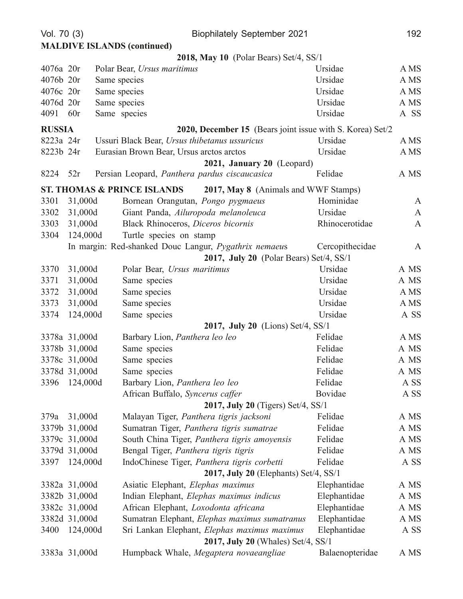| Vol. 70 (3)                        |                                                            | <b>Biophilately September 2021</b>                                             |                 | 192          |  |  |
|------------------------------------|------------------------------------------------------------|--------------------------------------------------------------------------------|-----------------|--------------|--|--|
| <b>MALDIVE ISLANDS (continued)</b> |                                                            |                                                                                |                 |              |  |  |
|                                    |                                                            | 2018, May 10 (Polar Bears) Set/4, SS/1                                         |                 |              |  |  |
| 4076a 20r                          |                                                            | Polar Bear, Ursus maritimus                                                    | Ursidae         | A MS         |  |  |
| 4076b 20r                          |                                                            | Same species                                                                   | Ursidae         | A MS         |  |  |
| 4076c 20r                          |                                                            | Same species                                                                   | Ursidae         | A MS         |  |  |
| 4076d 20r                          |                                                            | Same species                                                                   | Ursidae         | A MS         |  |  |
| 4091                               | 60r                                                        | Same species                                                                   | Ursidae         | A SS         |  |  |
| <b>RUSSIA</b>                      |                                                            | <b>2020, December 15</b> (Bears joint issue with S. Korea) Set/2               |                 |              |  |  |
| 8223a 24r                          |                                                            | Ussuri Black Bear, Ursus thibetanus ussuricus                                  | Ursidae         | A MS         |  |  |
| 8223b 24r                          |                                                            | Eurasian Brown Bear, Ursus arctos arctos                                       | Ursidae         | A MS         |  |  |
|                                    |                                                            | 2021, January 20 (Leopard)                                                     |                 |              |  |  |
| 8224                               | 52r                                                        | Persian Leopard, Panthera pardus ciscaucasica                                  | Felidae         | A MS         |  |  |
|                                    |                                                            | <b>ST. THOMAS &amp; PRINCE ISLANDS</b><br>2017, May 8 (Animals and WWF Stamps) |                 |              |  |  |
| 3301                               | 31,000d                                                    | Bornean Orangutan, Pongo pygmaeus                                              | Hominidae       | $\mathbf{A}$ |  |  |
| 3302                               | 31,000d                                                    | Giant Panda, Ailuropoda melanoleuca                                            | Ursidae         | $\mathbf{A}$ |  |  |
| 3303                               | 31,000d                                                    | Black Rhinoceros, Diceros bicornis                                             | Rhinocerotidae  | $\mathbf{A}$ |  |  |
| 3304                               | 124,000d                                                   | Turtle species on stamp                                                        |                 |              |  |  |
|                                    |                                                            | In margin: Red-shanked Douc Langur, Pygathrix nemaeus                          | Cercopithecidae | A            |  |  |
|                                    |                                                            | 2017, July 20 (Polar Bears) Set/4, SS/1                                        |                 |              |  |  |
| 3370                               | 31,000d                                                    | Polar Bear, Ursus maritimus                                                    | Ursidae         | A MS         |  |  |
| 3371                               | 31,000d                                                    | Same species                                                                   | Ursidae         | A MS         |  |  |
| 3372                               | 31,000d                                                    | Same species                                                                   | Ursidae         | A MS         |  |  |
| 3373                               | 31,000d                                                    | Same species                                                                   | Ursidae         | A MS         |  |  |
| 3374                               | 124,000d                                                   | Same species                                                                   | Ursidae         | A SS         |  |  |
|                                    |                                                            | 2017, July 20 (Lions) Set/4, SS/1                                              |                 |              |  |  |
|                                    | 3378a 31,000d                                              | Barbary Lion, Panthera leo leo                                                 | Felidae         | A MS         |  |  |
|                                    | 3378b 31,000d                                              | Same species                                                                   | Felidae         | A MS         |  |  |
|                                    | 3378c 31,000d                                              | Same species                                                                   | Felidae         | A MS         |  |  |
|                                    | 3378d 31,000d                                              | Same species                                                                   | Felidae         | A MS         |  |  |
| 3396                               | 124,000d                                                   | Barbary Lion, Panthera leo leo                                                 | Felidae         | A SS         |  |  |
|                                    | <b>Bovidae</b><br>African Buffalo, Syncerus caffer<br>A SS |                                                                                |                 |              |  |  |
|                                    |                                                            | 2017, July 20 (Tigers) Set/4, SS/1                                             |                 |              |  |  |
| 379a                               | 31,000d                                                    | Malayan Tiger, Panthera tigris jacksoni                                        | Felidae         | A MS         |  |  |
|                                    | 3379b 31,000d                                              | Sumatran Tiger, Panthera tigris sumatrae                                       | Felidae         | A MS         |  |  |
|                                    | 3379c 31,000d                                              | South China Tiger, Panthera tigris amoyensis                                   | Felidae         | A MS         |  |  |
|                                    | 3379d 31,000d                                              | Bengal Tiger, Panthera tigris tigris                                           | Felidae         | A MS         |  |  |
| 3397                               | 124,000d                                                   | IndoChinese Tiger, Panthera tigris corbetti                                    | Felidae         | A SS         |  |  |
|                                    |                                                            | 2017, July 20 (Elephants) Set/4, SS/1                                          |                 |              |  |  |
|                                    | 3382a 31,000d                                              | Asiatic Elephant, Elephas maximus                                              | Elephantidae    | A MS         |  |  |
|                                    | 3382b 31,000d                                              | Indian Elephant, Elephas maximus indicus                                       | Elephantidae    | A MS         |  |  |
|                                    | 3382c 31,000d                                              | African Elephant, Loxodonta africana                                           | Elephantidae    | A MS         |  |  |
|                                    | 3382d 31,000d                                              | Sumatran Elephant, Elephas maximus sumatranus                                  | Elephantidae    | A MS         |  |  |
| 3400                               | 124,000d                                                   | Sri Lankan Elephant, Elephas maximus maximus                                   | Elephantidae    | A SS         |  |  |
| 2017, July 20 (Whales) Set/4, SS/1 |                                                            |                                                                                |                 |              |  |  |
|                                    | 3383a 31,000d                                              | Humpback Whale, Megaptera novaeangliae                                         | Balaenopteridae | A MS         |  |  |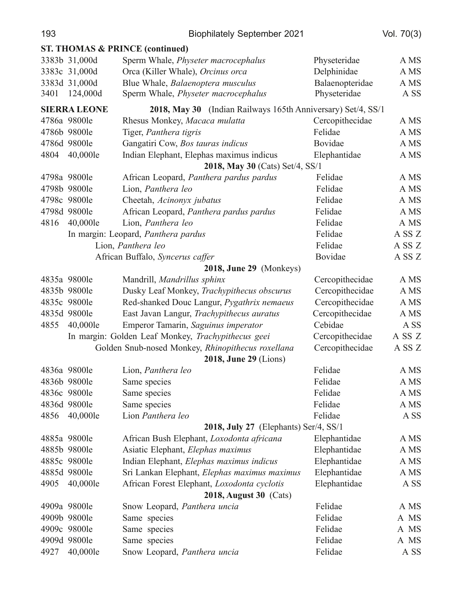| 193                           |                     | <b>Biophilately September 2021</b>                           |                 | Vol. $70(3)$ |  |
|-------------------------------|---------------------|--------------------------------------------------------------|-----------------|--------------|--|
|                               |                     | <b>ST. THOMAS &amp; PRINCE (continued)</b>                   |                 |              |  |
|                               | 3383b 31,000d       | Sperm Whale, Physeter macrocephalus                          | Physeteridae    | A MS         |  |
|                               | 3383c 31,000d       | Orca (Killer Whale), Orcinus orca                            | Delphinidae     | A MS         |  |
|                               | 3383d 31,000d       | Blue Whale, Balaenoptera musculus                            | Balaenopteridae | A MS         |  |
| 3401                          | 124,000d            | Sperm Whale, Physeter macrocephalus                          | Physeteridae    | A SS         |  |
|                               | <b>SIERRA LEONE</b> | 2018, May 30 (Indian Railways 165th Anniversary) Set/4, SS/1 |                 |              |  |
|                               | 4786a 9800le        | Rhesus Monkey, Macaca mulatta                                | Cercopithecidae | A MS         |  |
|                               | 4786b 9800le        | Tiger, Panthera tigris                                       | Felidae         | A MS         |  |
|                               | 4786d 9800le        | Gangatiri Cow, Bos tauras indicus                            | Bovidae         | A MS         |  |
| 4804                          | 40,000le            | Indian Elephant, Elephas maximus indicus                     | Elephantidae    | A MS         |  |
|                               |                     | 2018, May 30 (Cats) Set/4, SS/1                              |                 |              |  |
|                               | 4798a 9800le        | African Leopard, Panthera pardus pardus                      | Felidae         | A MS         |  |
|                               | 4798b 9800le        | Lion, Panthera leo                                           | Felidae         | A MS         |  |
|                               | 4798c 9800le        | Cheetah, Acinonyx jubatus                                    | Felidae         | A MS         |  |
|                               | 4798d 9800le        | African Leopard, Panthera pardus pardus                      | Felidae         | A MS         |  |
| 4816                          | 40,000le            | Lion, Panthera leo                                           | Felidae         | A MS         |  |
|                               |                     | In margin: Leopard, Panthera pardus                          | Felidae         | A SS Z       |  |
|                               |                     | Lion, Panthera leo                                           | Felidae         | A SS Z       |  |
|                               |                     | African Buffalo, Syncerus caffer                             | Bovidae         | A SS Z       |  |
|                               |                     | 2018, June 29 (Monkeys)                                      |                 |              |  |
|                               | 4835a 9800le        | Mandrill, Mandrillus sphinx                                  | Cercopithecidae | A MS         |  |
|                               | 4835b 9800le        | Dusky Leaf Monkey, Trachypithecus obscurus                   | Cercopithecidae | A MS         |  |
|                               | 4835c 9800le        | Red-shanked Douc Langur, Pygathrix nemaeus                   | Cercopithecidae | A MS         |  |
|                               | 4835d 9800le        | East Javan Langur, Trachypithecus auratus                    | Cercopithecidae | A MS         |  |
| 4855                          | 40,000le            | Emperor Tamarin, Saguinus imperator                          | Cebidae         | A SS         |  |
|                               |                     | In margin: Golden Leaf Monkey, Trachypithecus geei           | Cercopithecidae | A SS Z       |  |
|                               |                     | Golden Snub-nosed Monkey, Rhinopithecus roxellana            | Cercopithecidae | A SS Z       |  |
|                               |                     | <b>2018, June 29 (Lions)</b>                                 |                 |              |  |
|                               | 4836a 9800le        | Lion, Panthera leo                                           | Felidae         | A MS         |  |
|                               | 4836b 9800le        | Same species                                                 | Felidae         | A MS         |  |
|                               | 4836c 9800le        | Same species                                                 | Felidae         | A MS         |  |
|                               | 4836d 9800le        | Same species                                                 | Felidae         | A MS         |  |
| 4856                          | 40,000le            | Lion Panthera leo                                            | Felidae         | A SS         |  |
|                               |                     | 2018, July 27 (Elephants) Ser/4, SS/1                        |                 |              |  |
|                               | 4885a 9800le        | African Bush Elephant, Loxodonta africana                    | Elephantidae    | A MS         |  |
|                               | 4885b 9800le        | Asiatic Elephant, Elephas maximus                            | Elephantidae    | A MS         |  |
|                               | 4885c 9800le        | Indian Elephant, Elephas maximus indicus                     | Elephantidae    | A MS         |  |
|                               | 4885d 9800le        | Sri Lankan Elephant, Elephas maximus maximus                 | Elephantidae    | A MS         |  |
| 4905                          | 40,000le            | African Forest Elephant, Loxodonta cyclotis                  | Elephantidae    | A SS         |  |
| <b>2018, August 30 (Cats)</b> |                     |                                                              |                 |              |  |
|                               | 4909a 9800le        | Snow Leopard, Panthera uncia                                 | Felidae         | A MS         |  |
|                               | 4909b 9800le        | Same species                                                 | Felidae         | A MS         |  |
|                               | 4909c 9800le        | Same species                                                 | Felidae         | A MS         |  |
|                               | 4909d 9800le        | Same species                                                 | Felidae         | A MS         |  |
| 4927                          | 40,000le            | Snow Leopard, Panthera uncia                                 | Felidae         | A SS         |  |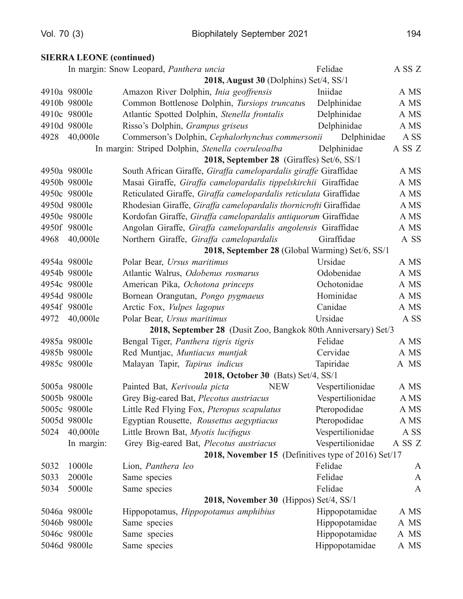## **SIERRA LEONE** (continued)

|                                                                |                                     | In margin: Snow Leopard, Panthera uncia                           | Felidae          | A SS Z       |  |  |
|----------------------------------------------------------------|-------------------------------------|-------------------------------------------------------------------|------------------|--------------|--|--|
|                                                                |                                     | 2018, August 30 (Dolphins) Set/4, SS/1                            |                  |              |  |  |
|                                                                | 4910a 9800le                        | Amazon River Dolphin, Inia geoffrensis                            | Iniidae          | A MS         |  |  |
|                                                                | 4910b 9800le                        | Common Bottlenose Dolphin, Tursiops truncatus                     | Delphinidae      | A MS         |  |  |
|                                                                | 4910c 9800le                        | Atlantic Spotted Dolphin, Stenella frontalis                      | Delphinidae      | A MS         |  |  |
|                                                                | 4910d 9800le                        | Risso's Dolphin, Grampus griseus                                  | Delphinidae      | A MS         |  |  |
| 4928                                                           | 40,000le                            | Commerson's Dolphin, Cephalorhynchus commersonii                  | Delphinidae      | A SS         |  |  |
|                                                                |                                     | In margin: Striped Dolphin, Stenella coeruleoalba                 | Delphinidae      | A SS Z       |  |  |
|                                                                |                                     | 2018, September 28 (Giraffes) Set/6, SS/1                         |                  |              |  |  |
|                                                                | 4950a 9800le                        | South African Giraffe, Giraffa camelopardalis giraffe Giraffidae  |                  | A MS         |  |  |
|                                                                | 4950b 9800le                        | Masai Giraffe, Giraffa camelopardalis tippelskirchii Giraffidae   |                  | A MS         |  |  |
|                                                                | 4950c 9800le                        | Reticulated Giraffe, Giraffa camelopardalis reticulata Giraffidae |                  | A MS         |  |  |
|                                                                | 4950d 9800le                        | Rhodesian Giraffe, Giraffa camelopardalis thornicrofti Giraffidae |                  | A MS         |  |  |
|                                                                | 4950e 9800le                        | Kordofan Giraffe, Giraffa camelopardalis antiquorum Giraffidae    |                  | A MS         |  |  |
|                                                                | 4950f 9800le                        | Angolan Giraffe, Giraffa camelopardalis angolensis Giraffidae     |                  | A MS         |  |  |
| 4968                                                           | 40,000le                            | Northern Giraffe, Giraffa camelopardalis                          | Giraffidae       | A SS         |  |  |
|                                                                |                                     | 2018, September 28 (Global Warming) Set/6, SS/1                   |                  |              |  |  |
|                                                                | 4954a 9800le                        | Polar Bear, Ursus maritimus                                       | Ursidae          | A MS         |  |  |
|                                                                | 4954b 9800le                        | Atlantic Walrus, Odobenus rosmarus                                | Odobenidae       | A MS         |  |  |
|                                                                | 4954c 9800le                        | American Pika, Ochotona princeps                                  | Ochotonidae      | A MS         |  |  |
|                                                                | 4954d 9800le                        | Bornean Orangutan, Pongo pygmaeus                                 | Hominidae        | A MS         |  |  |
|                                                                | 4954f 9800le                        | Arctic Fox, <i>Vulpes lagopus</i>                                 | Canidae          | A MS         |  |  |
| 4972                                                           | 40,000le                            | Polar Bear, Ursus maritimus                                       | Ursidae          | A SS         |  |  |
| 2018, September 28 (Dusit Zoo, Bangkok 80th Anniversary) Set/3 |                                     |                                                                   |                  |              |  |  |
|                                                                | 4985a 9800le                        | Bengal Tiger, Panthera tigris tigris                              | Felidae          | A MS         |  |  |
|                                                                | 4985b 9800le                        | Red Muntjac, Muntiacus muntjak                                    | Cervidae         | A MS         |  |  |
|                                                                | 4985c 9800le                        | Malayan Tapir, Tapirus indicus                                    | Tapiridae        | A MS         |  |  |
|                                                                | 2018, October 30 (Bats) Set/4, SS/1 |                                                                   |                  |              |  |  |
|                                                                | 5005a 9800le                        | <b>NEW</b><br>Painted Bat, Kerivoula picta                        | Vespertilionidae | A MS         |  |  |
|                                                                | 5005b 9800le                        | Grey Big-eared Bat, Plecotus austriacus                           | Vespertilionidae | A MS         |  |  |
|                                                                | 5005c 9800le                        | Little Red Flying Fox, Pteropus scapulatus                        | Pteropodidae     | A MS         |  |  |
|                                                                | 5005d 9800le                        | Egyptian Rousette, Rousettus aegyptiacus                          | Pteropodidae     | A MS         |  |  |
| 5024                                                           | 40,000le                            | Little Brown Bat, Myotis lucifugus                                | Vespertilionidae | A SS         |  |  |
|                                                                | In margin:                          | Grey Big-eared Bat, Plecotus austriacus                           | Vespertilionidae | A SS Z       |  |  |
|                                                                |                                     | 2018, November 15 (Definitives type of 2016) Set/17               |                  |              |  |  |
| 5032                                                           | 1000le                              | Lion, Panthera leo                                                | Felidae          | A            |  |  |
| 5033                                                           | 2000le                              | Same species                                                      | Felidae          | $\mathbf{A}$ |  |  |
| 5034                                                           | 5000le                              | Same species                                                      | Felidae          | A            |  |  |
| 2018, November 30 (Hippos) Set/4, SS/1                         |                                     |                                                                   |                  |              |  |  |
|                                                                | 5046a 9800le                        | Hippopotamus, Hippopotamus amphibius                              | Hippopotamidae   | A MS         |  |  |
|                                                                | 5046b 9800le                        | Same species                                                      | Hippopotamidae   | A MS         |  |  |
|                                                                | 5046c 9800le                        | Same species                                                      | Hippopotamidae   | A MS         |  |  |
|                                                                | 5046d 9800le                        | Same species                                                      | Hippopotamidae   | A MS         |  |  |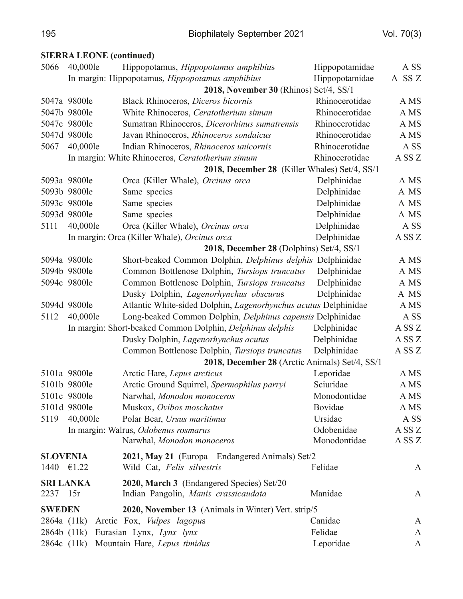#### **SIERRA LEONE** (continued)

| 5066            | 40,000le         | Hippopotamus, <i>Hippopotamus amphibius</i>                                       | Hippopotamidae | A SS             |
|-----------------|------------------|-----------------------------------------------------------------------------------|----------------|------------------|
|                 |                  | In margin: Hippopotamus, Hippopotamus amphibius                                   | Hippopotamidae | A SSZ            |
|                 |                  | 2018, November 30 (Rhinos) Set/4, SS/1                                            |                |                  |
|                 | 5047a 9800le     | Black Rhinoceros, Diceros bicornis                                                | Rhinocerotidae | A MS             |
|                 | 5047b 9800le     | White Rhinoceros, Ceratotherium simum                                             | Rhinocerotidae | A MS             |
|                 | 5047c 9800le     | Sumatran Rhinoceros, Dicerorhinus sumatrensis                                     | Rhinocerotidae | A MS             |
|                 | 5047d 9800le     | Javan Rhinoceros, Rhinoceros sondaicus                                            | Rhinocerotidae | A MS             |
| 5067            | 40,000le         | Indian Rhinoceros, Rhinoceros unicornis                                           | Rhinocerotidae | A SS             |
|                 |                  | In margin: White Rhinoceros, Ceratotherium simum                                  | Rhinocerotidae | ASS <sub>Z</sub> |
|                 |                  | 2018, December 28 (Killer Whales) Set/4, SS/1                                     |                |                  |
|                 | 5093a 9800le     | Orca (Killer Whale), Orcinus orca                                                 | Delphinidae    | A MS             |
|                 | 5093b 9800le     | Same species                                                                      | Delphinidae    | A MS             |
|                 | 5093c 9800le     | Same species                                                                      | Delphinidae    | A MS             |
|                 | 5093d 9800le     | Same species                                                                      | Delphinidae    | A MS             |
| 5111            | 40,000le         | Orca (Killer Whale), Orcinus orca                                                 | Delphinidae    | A SS             |
|                 |                  | In margin: Orca (Killer Whale), Orcinus orca                                      | Delphinidae    | ASS <sub>Z</sub> |
|                 |                  | 2018, December 28 (Dolphins) Set/4, SS/1                                          |                |                  |
|                 | 5094a 9800le     | Short-beaked Common Dolphin, Delphinus delphis Delphinidae                        |                | A MS             |
|                 | 5094b 9800le     | Common Bottlenose Dolphin, Tursiops truncatus                                     | Delphinidae    | A MS             |
|                 | 5094c 9800le     | Common Bottlenose Dolphin, Tursiops truncatus                                     | Delphinidae    | A MS             |
|                 |                  | Dusky Dolphin, Lagenorhynchus obscurus                                            | Delphinidae    | A MS             |
|                 | 5094d 9800le     | Atlantic White-sided Dolphin, Lagenorhynchus acutus Delphinidae                   |                | A MS             |
| 5112            | 40,000le         | Long-beaked Common Dolphin, Delphinus capensis Delphinidae                        |                | A SS             |
|                 |                  | In margin: Short-beaked Common Dolphin, Delphinus delphis                         | Delphinidae    | ASS <sub>Z</sub> |
|                 |                  | Dusky Dolphin, Lagenorhynchus acutus                                              | Delphinidae    | ASS <sub>Z</sub> |
|                 |                  | Common Bottlenose Dolphin, Tursiops truncatus                                     | Delphinidae    | ASS <sub>Z</sub> |
|                 |                  | 2018, December 28 (Arctic Animals) Set/4, SS/1                                    |                |                  |
|                 | 5101a 9800le     | Arctic Hare, Lepus arcticus                                                       | Leporidae      | A MS             |
|                 | 5101b 9800le     | Arctic Ground Squirrel, Spermophilus parryi                                       | Sciuridae      | A MS             |
|                 | 5101c 9800le     | Narwhal, Monodon monoceros                                                        | Monodontidae   | A MS             |
|                 | 5101d 9800le     | Muskox, Ovibos moschatus                                                          | Bovidae        | A MS             |
| 5119            | 40,000le         | Polar Bear, Ursus maritimus                                                       | Ursidae        | A SS             |
|                 |                  | In margin: Walrus, Odobenus rosmarus                                              | Odobenidae     | ASS <sub>Z</sub> |
|                 |                  | Narwhal, Monodon monoceros                                                        | Monodontidae   | A SS Z           |
| <b>SLOVENIA</b> |                  | 2021, May 21 (Europa – Endangered Animals) Set/2                                  |                |                  |
| 1440 €1.22      |                  | Wild Cat, Felis silvestris                                                        | Felidae        | A                |
|                 | <b>SRI LANKA</b> |                                                                                   |                |                  |
| 2237 15r        |                  | 2020, March 3 (Endangered Species) Set/20<br>Indian Pangolin, Manis crassicaudata | Manidae        | $\mathbf{A}$     |
|                 |                  |                                                                                   |                |                  |
| <b>SWEDEN</b>   |                  | 2020, November 13 (Animals in Winter) Vert. strip/5                               |                |                  |
| 2864a (11k)     |                  | Arctic Fox, <i>Vulpes lagopus</i>                                                 | Canidae        | $\mathbf{A}$     |
| 2864b (11k)     |                  | Eurasian Lynx, Lynx lynx                                                          | Felidae        | A                |
|                 |                  | 2864c (11k) Mountain Hare, Lepus timidus                                          | Leporidae      | A                |